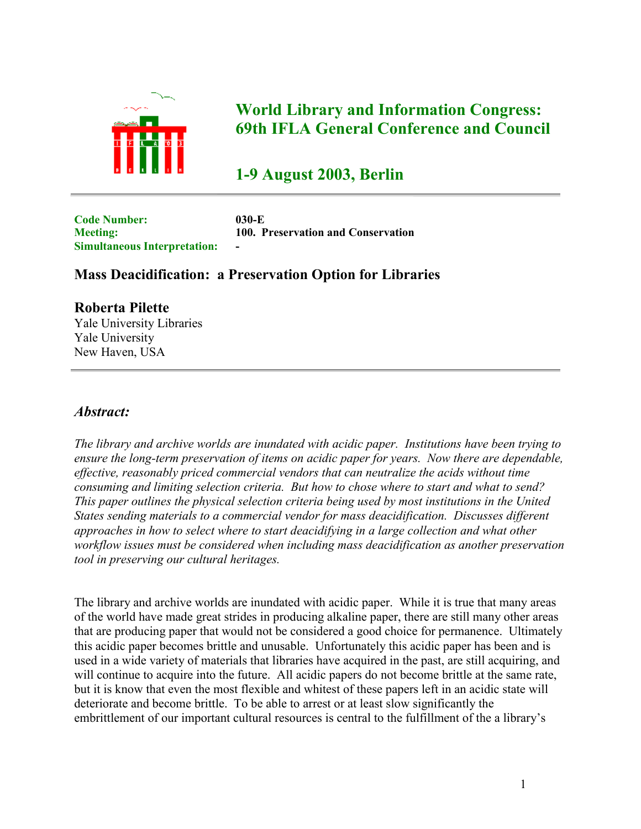

## **World Library and Information Congress: 69th IFLA General Conference and Council**

# **1-9 August 2003, Berlin**

**Code Number: 030-E Simultaneous Interpretation: -**

**Meeting: 100. Preservation and Conservation**

### **Mass Deacidification: a Preservation Option for Libraries**

#### **Roberta Pilette**

Yale University Libraries Yale University New Haven, USA

#### *Abstract:*

*The library and archive worlds are inundated with acidic paper. Institutions have been trying to ensure the long-term preservation of items on acidic paper for years. Now there are dependable, effective, reasonably priced commercial vendors that can neutralize the acids without time consuming and limiting selection criteria. But how to chose where to start and what to send? This paper outlines the physical selection criteria being used by most institutions in the United States sending materials to a commercial vendor for mass deacidification. Discusses different approaches in how to select where to start deacidifying in a large collection and what other workflow issues must be considered when including mass deacidification as another preservation tool in preserving our cultural heritages.*

The library and archive worlds are inundated with acidic paper. While it is true that many areas of the world have made great strides in producing alkaline paper, there are still many other areas that are producing paper that would not be considered a good choice for permanence. Ultimately this acidic paper becomes brittle and unusable. Unfortunately this acidic paper has been and is used in a wide variety of materials that libraries have acquired in the past, are still acquiring, and will continue to acquire into the future. All acidic papers do not become brittle at the same rate, but it is know that even the most flexible and whitest of these papers left in an acidic state will deteriorate and become brittle. To be able to arrest or at least slow significantly the embrittlement of our important cultural resources is central to the fulfillment of the a library's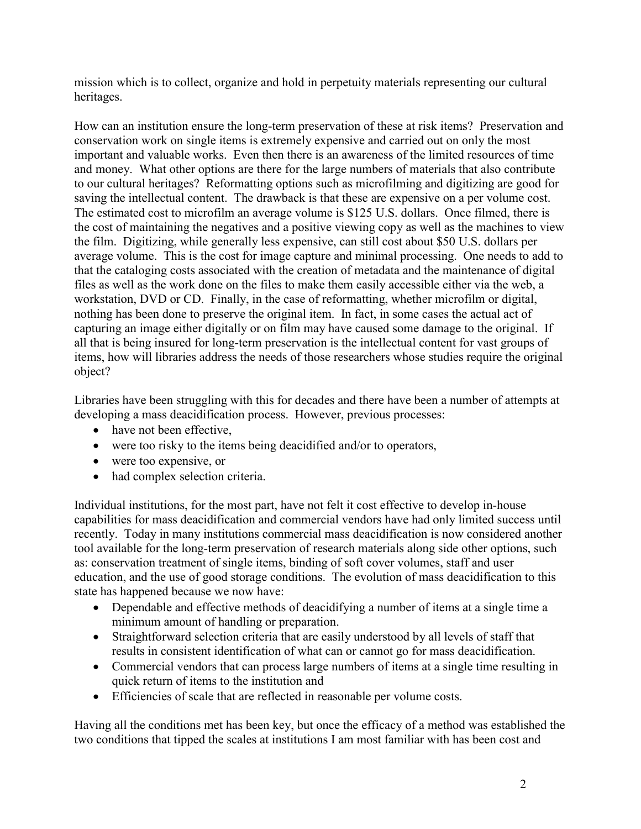mission which is to collect, organize and hold in perpetuity materials representing our cultural heritages.

How can an institution ensure the long-term preservation of these at risk items? Preservation and conservation work on single items is extremely expensive and carried out on only the most important and valuable works. Even then there is an awareness of the limited resources of time and money. What other options are there for the large numbers of materials that also contribute to our cultural heritages? Reformatting options such as microfilming and digitizing are good for saving the intellectual content. The drawback is that these are expensive on a per volume cost. The estimated cost to microfilm an average volume is \$125 U.S. dollars. Once filmed, there is the cost of maintaining the negatives and a positive viewing copy as well as the machines to view the film. Digitizing, while generally less expensive, can still cost about \$50 U.S. dollars per average volume. This is the cost for image capture and minimal processing. One needs to add to that the cataloging costs associated with the creation of metadata and the maintenance of digital files as well as the work done on the files to make them easily accessible either via the web, a workstation, DVD or CD. Finally, in the case of reformatting, whether microfilm or digital, nothing has been done to preserve the original item. In fact, in some cases the actual act of capturing an image either digitally or on film may have caused some damage to the original. If all that is being insured for long-term preservation is the intellectual content for vast groups of items, how will libraries address the needs of those researchers whose studies require the original object?

Libraries have been struggling with this for decades and there have been a number of attempts at developing a mass deacidification process. However, previous processes:

- have not been effective,
- were too risky to the items being deacidified and/or to operators,
- were too expensive, or
- had complex selection criteria.

Individual institutions, for the most part, have not felt it cost effective to develop in-house capabilities for mass deacidification and commercial vendors have had only limited success until recently. Today in many institutions commercial mass deacidification is now considered another tool available for the long-term preservation of research materials along side other options, such as: conservation treatment of single items, binding of soft cover volumes, staff and user education, and the use of good storage conditions. The evolution of mass deacidification to this state has happened because we now have:

- Dependable and effective methods of deacidifying a number of items at a single time a minimum amount of handling or preparation.
- Straightforward selection criteria that are easily understood by all levels of staff that results in consistent identification of what can or cannot go for mass deacidification.
- Commercial vendors that can process large numbers of items at a single time resulting in quick return of items to the institution and
- Efficiencies of scale that are reflected in reasonable per volume costs.

Having all the conditions met has been key, but once the efficacy of a method was established the two conditions that tipped the scales at institutions I am most familiar with has been cost and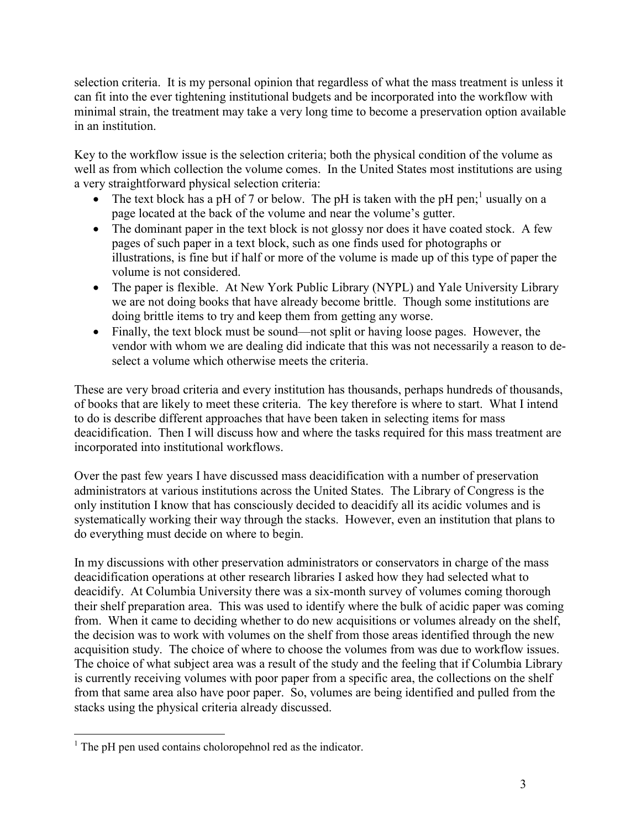selection criteria. It is my personal opinion that regardless of what the mass treatment is unless it can fit into the ever tightening institutional budgets and be incorporated into the workflow with minimal strain, the treatment may take a very long time to become a preservation option available in an institution.

Key to the workflow issue is the selection criteria; both the physical condition of the volume as well as from which collection the volume comes. In the United States most institutions are using a very straightforward physical selection criteria:

- The text block has a pH of 7 or below. The pH is taken with the pH pen;<sup>[1](#page-2-0)</sup> usually on a page located at the back of the volume and near the volume's gutter.
- The dominant paper in the text block is not glossy nor does it have coated stock. A few pages of such paper in a text block, such as one finds used for photographs or illustrations, is fine but if half or more of the volume is made up of this type of paper the volume is not considered.
- The paper is flexible. At New York Public Library (NYPL) and Yale University Library we are not doing books that have already become brittle. Though some institutions are doing brittle items to try and keep them from getting any worse.
- Finally, the text block must be sound—not split or having loose pages. However, the vendor with whom we are dealing did indicate that this was not necessarily a reason to deselect a volume which otherwise meets the criteria.

These are very broad criteria and every institution has thousands, perhaps hundreds of thousands, of books that are likely to meet these criteria. The key therefore is where to start. What I intend to do is describe different approaches that have been taken in selecting items for mass deacidification. Then I will discuss how and where the tasks required for this mass treatment are incorporated into institutional workflows.

Over the past few years I have discussed mass deacidification with a number of preservation administrators at various institutions across the United States. The Library of Congress is the only institution I know that has consciously decided to deacidify all its acidic volumes and is systematically working their way through the stacks. However, even an institution that plans to do everything must decide on where to begin.

In my discussions with other preservation administrators or conservators in charge of the mass deacidification operations at other research libraries I asked how they had selected what to deacidify. At Columbia University there was a six-month survey of volumes coming thorough their shelf preparation area. This was used to identify where the bulk of acidic paper was coming from. When it came to deciding whether to do new acquisitions or volumes already on the shelf, the decision was to work with volumes on the shelf from those areas identified through the new acquisition study. The choice of where to choose the volumes from was due to workflow issues. The choice of what subject area was a result of the study and the feeling that if Columbia Library is currently receiving volumes with poor paper from a specific area, the collections on the shelf from that same area also have poor paper. So, volumes are being identified and pulled from the stacks using the physical criteria already discussed.

<span id="page-2-0"></span> $\overline{a}$  $<sup>1</sup>$  The pH pen used contains choloropehnol red as the indicator.</sup>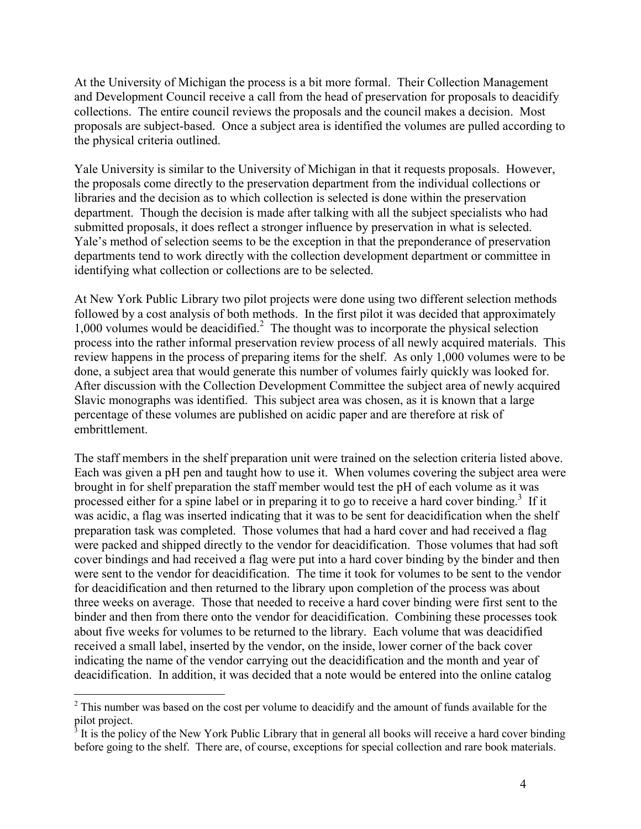At the University of Michigan the process is a bit more formal. Their Collection Management and Development Council receive a call from the head of preservation for proposals to deacidify collections. The entire council reviews the proposals and the council makes a decision. Most proposals are subject-based. Once a subject area is identified the volumes are pulled according to the physical criteria outlined.

Yale University is similar to the University of Michigan in that it requests proposals. However, the proposals come directly to the preservation department from the individual collections or libraries and the decision as to which collection is selected is done within the preservation department. Though the decision is made after talking with all the subject specialists who had submitted proposals, it does reflect a stronger influence by preservation in what is selected. Yale's method of selection seems to be the exception in that the preponderance of preservation departments tend to work directly with the collection development department or committee in identifying what collection or collections are to be selected.

At New York Public Library two pilot projects were done using two different selection methods followed by a cost analysis of both methods. In the first pilot it was decided that approximately 1,000 volumes would be deacidified.<sup>[2](#page-3-0)</sup> The thought was to incorporate the physical selection process into the rather informal preservation review process of all newly acquired materials. This review happens in the process of preparing items for the shelf. As only 1,000 volumes were to be done, a subject area that would generate this number of volumes fairly quickly was looked for. After discussion with the Collection Development Committee the subject area of newly acquired Slavic monographs was identified. This subject area was chosen, as it is known that a large percentage of these volumes are published on acidic paper and are therefore at risk of embrittlement.

The staff members in the shelf preparation unit were trained on the selection criteria listed above. Each was given a pH pen and taught how to use it. When volumes covering the subject area were brought in for shelf preparation the staff member would test the pH of each volume as it was processed either for a spine label or in preparing it to go to receive a hard cover binding.<sup>[3](#page-3-1)</sup> If it was acidic, a flag was inserted indicating that it was to be sent for deacidification when the shelf preparation task was completed. Those volumes that had a hard cover and had received a flag were packed and shipped directly to the vendor for deacidification. Those volumes that had soft cover bindings and had received a flag were put into a hard cover binding by the binder and then were sent to the vendor for deacidification. The time it took for volumes to be sent to the vendor for deacidification and then returned to the library upon completion of the process was about three weeks on average. Those that needed to receive a hard cover binding were first sent to the binder and then from there onto the vendor for deacidification. Combining these processes took about five weeks for volumes to be returned to the library. Each volume that was deacidified received a small label, inserted by the vendor, on the inside, lower corner of the back cover indicating the name of the vendor carrying out the deacidification and the month and year of deacidification. In addition, it was decided that a note would be entered into the online catalog

 $\overline{a}$ 

<span id="page-3-0"></span> $2$  This number was based on the cost per volume to deacidify and the amount of funds available for the pilot project.

<span id="page-3-1"></span>It is the policy of the New York Public Library that in general all books will receive a hard cover binding before going to the shelf. There are, of course, exceptions for special collection and rare book materials.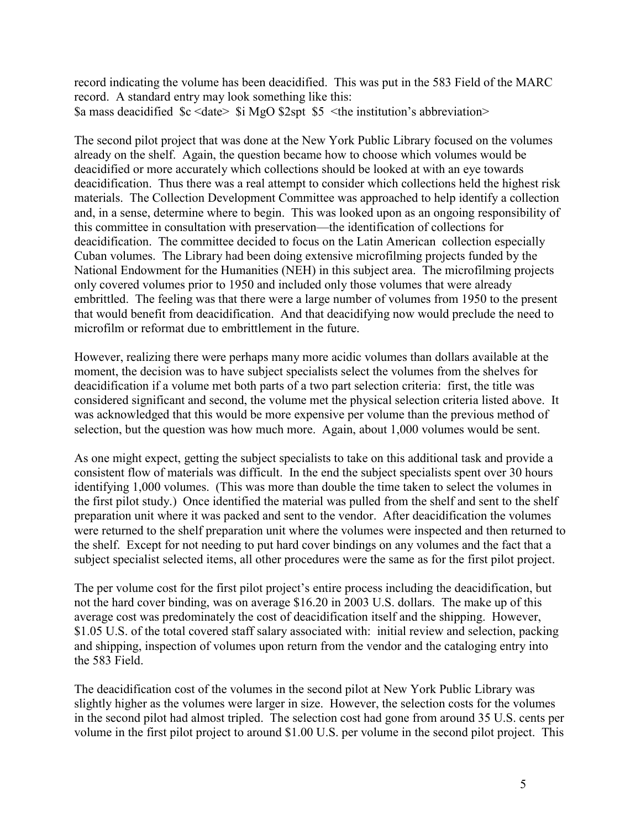record indicating the volume has been deacidified. This was put in the 583 Field of the MARC record. A standard entry may look something like this: \$a mass deacidified \$c <date> \$i MgO \$2spt \$5 <the institution's abbreviation>

The second pilot project that was done at the New York Public Library focused on the volumes already on the shelf. Again, the question became how to choose which volumes would be deacidified or more accurately which collections should be looked at with an eye towards deacidification. Thus there was a real attempt to consider which collections held the highest risk materials. The Collection Development Committee was approached to help identify a collection and, in a sense, determine where to begin. This was looked upon as an ongoing responsibility of this committee in consultation with preservation—the identification of collections for deacidification. The committee decided to focus on the Latin American collection especially Cuban volumes. The Library had been doing extensive microfilming projects funded by the National Endowment for the Humanities (NEH) in this subject area. The microfilming projects only covered volumes prior to 1950 and included only those volumes that were already embrittled. The feeling was that there were a large number of volumes from 1950 to the present that would benefit from deacidification. And that deacidifying now would preclude the need to microfilm or reformat due to embrittlement in the future.

However, realizing there were perhaps many more acidic volumes than dollars available at the moment, the decision was to have subject specialists select the volumes from the shelves for deacidification if a volume met both parts of a two part selection criteria: first, the title was considered significant and second, the volume met the physical selection criteria listed above. It was acknowledged that this would be more expensive per volume than the previous method of selection, but the question was how much more. Again, about 1,000 volumes would be sent.

As one might expect, getting the subject specialists to take on this additional task and provide a consistent flow of materials was difficult. In the end the subject specialists spent over 30 hours identifying 1,000 volumes. (This was more than double the time taken to select the volumes in the first pilot study.) Once identified the material was pulled from the shelf and sent to the shelf preparation unit where it was packed and sent to the vendor. After deacidification the volumes were returned to the shelf preparation unit where the volumes were inspected and then returned to the shelf. Except for not needing to put hard cover bindings on any volumes and the fact that a subject specialist selected items, all other procedures were the same as for the first pilot project.

The per volume cost for the first pilot project's entire process including the deacidification, but not the hard cover binding, was on average \$16.20 in 2003 U.S. dollars. The make up of this average cost was predominately the cost of deacidification itself and the shipping. However, \$1.05 U.S. of the total covered staff salary associated with: initial review and selection, packing and shipping, inspection of volumes upon return from the vendor and the cataloging entry into the 583 Field.

The deacidification cost of the volumes in the second pilot at New York Public Library was slightly higher as the volumes were larger in size. However, the selection costs for the volumes in the second pilot had almost tripled. The selection cost had gone from around 35 U.S. cents per volume in the first pilot project to around \$1.00 U.S. per volume in the second pilot project. This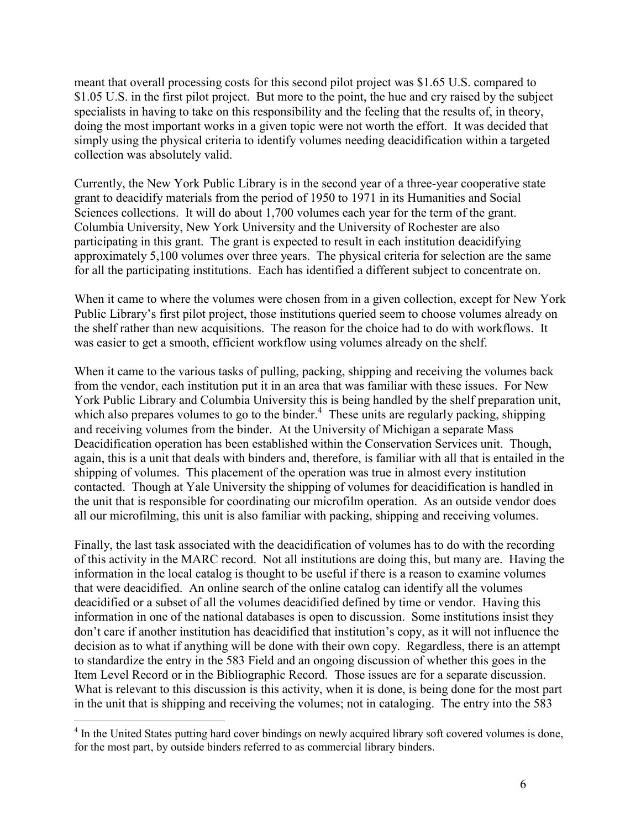meant that overall processing costs for this second pilot project was \$1.65 U.S. compared to \$1.05 U.S. in the first pilot project. But more to the point, the hue and cry raised by the subject specialists in having to take on this responsibility and the feeling that the results of, in theory, doing the most important works in a given topic were not worth the effort. It was decided that simply using the physical criteria to identify volumes needing deacidification within a targeted collection was absolutely valid.

Currently, the New York Public Library is in the second year of a three-year cooperative state grant to deacidify materials from the period of 1950 to 1971 in its Humanities and Social Sciences collections. It will do about 1,700 volumes each year for the term of the grant. Columbia University, New York University and the University of Rochester are also participating in this grant. The grant is expected to result in each institution deacidifying approximately 5,100 volumes over three years. The physical criteria for selection are the same for all the participating institutions. Each has identified a different subject to concentrate on.

When it came to where the volumes were chosen from in a given collection, except for New York Public Library's first pilot project, those institutions queried seem to choose volumes already on the shelf rather than new acquisitions. The reason for the choice had to do with workflows. It was easier to get a smooth, efficient workflow using volumes already on the shelf.

When it came to the various tasks of pulling, packing, shipping and receiving the volumes back from the vendor, each institution put it in an area that was familiar with these issues. For New York Public Library and Columbia University this is being handled by the shelf preparation unit, which also prepares volumes to go to the binder. $<sup>4</sup>$  $<sup>4</sup>$  $<sup>4</sup>$  These units are regularly packing, shipping</sup> and receiving volumes from the binder. At the University of Michigan a separate Mass Deacidification operation has been established within the Conservation Services unit. Though, again, this is a unit that deals with binders and, therefore, is familiar with all that is entailed in the shipping of volumes. This placement of the operation was true in almost every institution contacted. Though at Yale University the shipping of volumes for deacidification is handled in the unit that is responsible for coordinating our microfilm operation. As an outside vendor does all our microfilming, this unit is also familiar with packing, shipping and receiving volumes.

Finally, the last task associated with the deacidification of volumes has to do with the recording of this activity in the MARC record. Not all institutions are doing this, but many are. Having the information in the local catalog is thought to be useful if there is a reason to examine volumes that were deacidified. An online search of the online catalog can identify all the volumes deacidified or a subset of all the volumes deacidified defined by time or vendor. Having this information in one of the national databases is open to discussion. Some institutions insist they don't care if another institution has deacidified that institution's copy, as it will not influence the decision as to what if anything will be done with their own copy. Regardless, there is an attempt to standardize the entry in the 583 Field and an ongoing discussion of whether this goes in the Item Level Record or in the Bibliographic Record. Those issues are for a separate discussion. What is relevant to this discussion is this activity, when it is done, is being done for the most part in the unit that is shipping and receiving the volumes; not in cataloging. The entry into the 583

 $\overline{a}$ 

<span id="page-5-0"></span><sup>&</sup>lt;sup>4</sup> In the United States putting hard cover bindings on newly acquired library soft covered volumes is done, for the most part, by outside binders referred to as commercial library binders.